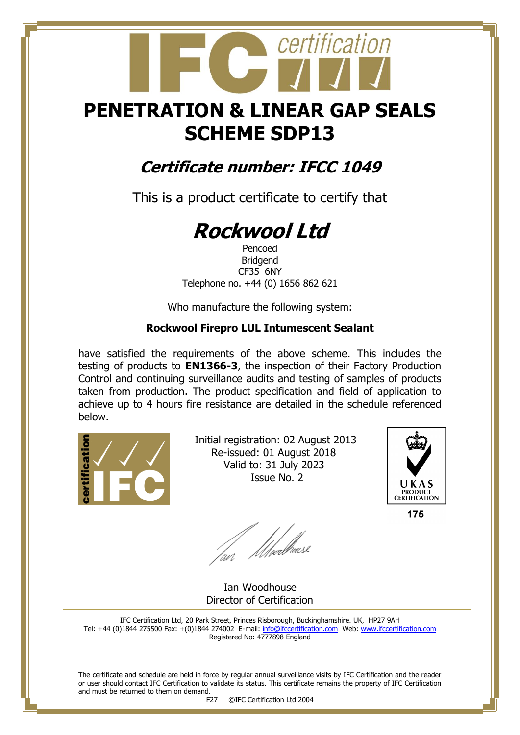## **PENETRATION & LINEAR GAP SEALS SCHEME SDP13**

certification

### **Certificate number: IFCC 1049**

This is a product certificate to certify that

# **Rockwool Ltd**

Pencoed Bridgend CF35 6NY Telephone no. +44 (0) 1656 862 621

Who manufacture the following system:

#### **Rockwool Firepro LUL Intumescent Sealant**

have satisfied the requirements of the above scheme. This includes the testing of products to **EN1366-3**, the inspection of their Factory Production Control and continuing surveillance audits and testing of samples of products taken from production. The product specification and field of application to achieve up to 4 hours fire resistance are detailed in the schedule referenced below.



 Initial registration: 02 August 2013 Re-issued: 01 August 2018 Valid to: 31 July 2023 Issue No. 2



175

fan Moedhouse

 Ian Woodhouse Director of Certification

IFC Certification Ltd, 20 Park Street, Princes Risborough, Buckinghamshire. UK, HP27 9AH Tel: +44 (0)1844 275500 Fax: +(0)1844 274002 E-mail[: info@ifccertification.com](mailto:info@ifccertification.com) Web: [www.ifccertification.com](http://www.ifccertification.com/) Registered No: 4777898 England

The certificate and schedule are held in force by regular annual surveillance visits by IFC Certification and the reader or user should contact IFC Certification to validate its status. This certificate remains the property of IFC Certification and must be returned to them on demand.